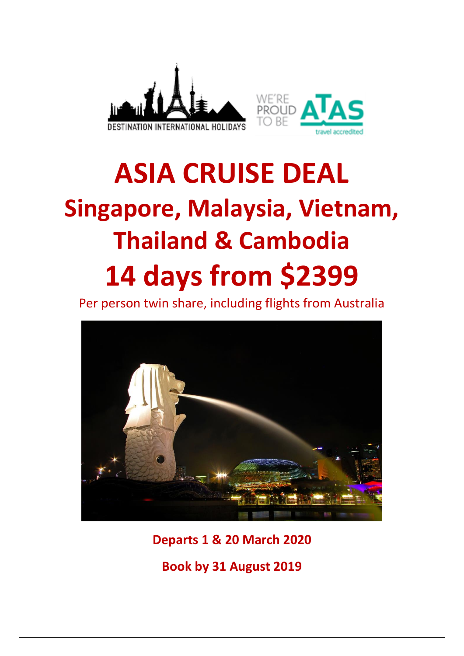



# **ASIA CRUISE DEAL Singapore, Malaysia, Vietnam, Thailand & Cambodia 14 days from \$2399**

Per person twin share, including flights from Australia



**Departs 1 & 20 March 2020**

**Book by 31 August 2019**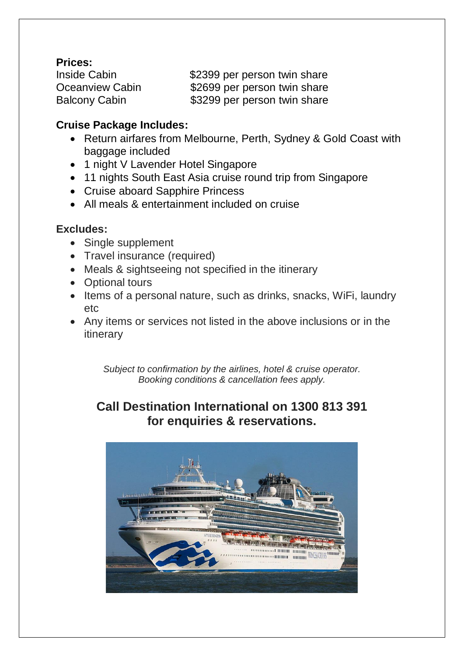## **Prices:**

Inside Cabin  $$2399$  per person twin share Oceanview Cabin \$2699 per person twin share Balcony Cabin  $$3299$  per person twin share

## **Cruise Package Includes:**

- Return airfares from Melbourne, Perth, Sydney & Gold Coast with baggage included
- 1 night V Lavender Hotel Singapore
- 11 nights South East Asia cruise round trip from Singapore
- Cruise aboard Sapphire Princess
- All meals & entertainment included on cruise

## **Excludes:**

- Single supplement
- Travel insurance (required)
- Meals & sightseeing not specified in the itinerary
- Optional tours
- Items of a personal nature, such as drinks, snacks, WiFi, laundry etc
- Any items or services not listed in the above inclusions or in the itinerary

*Subject to confirmation by the airlines, hotel & cruise operator. Booking conditions & cancellation fees apply.*

## **Call Destination International on 1300 813 391 for enquiries & reservations.**

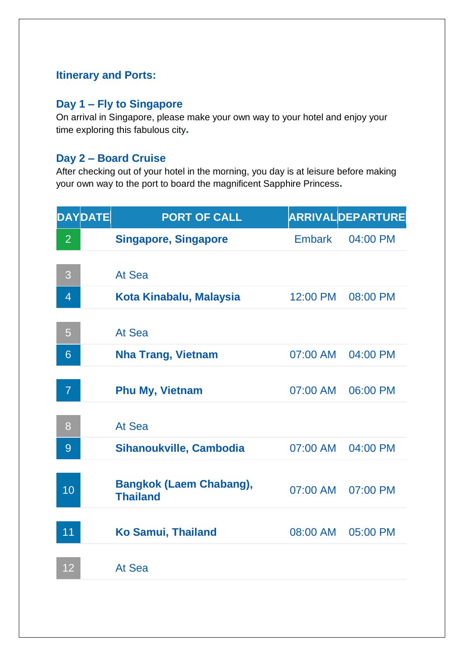## **Itinerary and Ports:**

## **Day 1 – Fly to Singapore**

On arrival in Singapore, please make your own way to your hotel and enjoy your time exploring this fabulous city**.** 

## **Day 2 – Board Cruise**

After checking out of your hotel in the morning, you day is at leisure before making your own way to the port to board the magnificent Sapphire Princess**.** 

|                | <b>DAYDATE</b> | <b>PORT OF CALL</b>                               |          | <b>ARRIVALDEPARTURE</b> |
|----------------|----------------|---------------------------------------------------|----------|-------------------------|
| 2 <sup>1</sup> |                | <b>Singapore, Singapore</b>                       | Embark   | 04:00 PM                |
|                |                |                                                   |          |                         |
| 3              |                | At Sea                                            |          |                         |
| $\overline{4}$ |                | Kota Kinabalu, Malaysia                           | 12:00 PM | 08:00 PM                |
| 5              |                | At Sea                                            |          |                         |
| 6              |                | <b>Nha Trang, Vietnam</b>                         | 07:00 AM | 04:00 PM                |
| 7              |                | <b>Phu My, Vietnam</b>                            | 07:00 AM | 06:00 PM                |
| 8              |                | At Sea                                            |          |                         |
| 9              |                | Sihanoukville, Cambodia                           | 07:00 AM | 04:00 PM                |
| 10             |                | <b>Bangkok (Laem Chabang),</b><br><b>Thailand</b> | 07:00 AM | 07:00 PM                |
| 11             |                | <b>Ko Samui, Thailand</b>                         | 08:00 AM | 05:00 PM                |
| 12             |                | At Sea                                            |          |                         |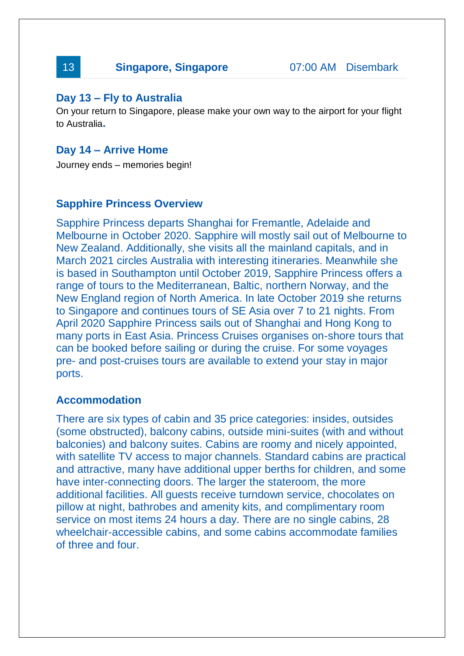# 13 **Singapore, Singapore** 07:00 AM Disembark

## **Day 13 – Fly to Australia**

On your return to Singapore, please make your own way to the airport for your flight to Australia**.** 

## **Day 14 – Arrive Home**

Journey ends – memories begin!

## **Sapphire Princess Overview**

Sapphire Princess departs Shanghai for Fremantle, Adelaide and Melbourne in October 2020. Sapphire will mostly sail out of Melbourne to New Zealand. Additionally, she visits all the mainland capitals, and in March 2021 circles Australia with interesting itineraries. Meanwhile she is based in Southampton until October 2019, Sapphire Princess offers a range of tours to the Mediterranean, Baltic, northern Norway, and the New England region of North America. In late October 2019 she returns to Singapore and continues tours of SE Asia over 7 to 21 nights. From April 2020 Sapphire Princess sails out of Shanghai and Hong Kong to many ports in East Asia. Princess Cruises organises on-shore tours that can be booked before sailing or during the cruise. For some voyages pre- and post-cruises tours are available to extend your stay in major ports.

## **Accommodation**

There are six types of cabin and 35 price categories: insides, outsides (some obstructed), balcony cabins, outside mini-suites (with and without balconies) and balcony suites. Cabins are roomy and nicely appointed, with satellite TV access to major channels. Standard cabins are practical and attractive, many have additional upper berths for children, and some have inter-connecting doors. The larger the stateroom, the more additional facilities. All guests receive turndown service, chocolates on pillow at night, bathrobes and amenity kits, and complimentary room service on most items 24 hours a day. There are no single cabins, 28 wheelchair-accessible cabins, and some cabins accommodate families of three and four.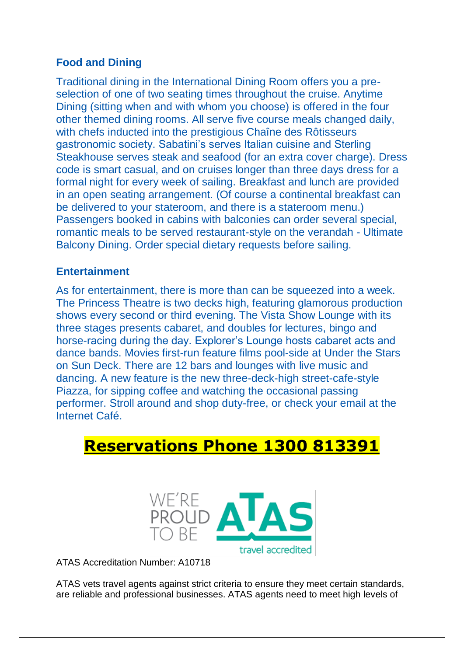## **Food and Dining**

Traditional dining in the International Dining Room offers you a preselection of one of two seating times throughout the cruise. Anytime Dining (sitting when and with whom you choose) is offered in the four other themed dining rooms. All serve five course meals changed daily, with chefs inducted into the prestigious Chaîne des Rôtisseurs gastronomic society. Sabatini's serves Italian cuisine and Sterling Steakhouse serves steak and seafood (for an extra cover charge). Dress code is smart casual, and on cruises longer than three days dress for a formal night for every week of sailing. Breakfast and lunch are provided in an open seating arrangement. (Of course a continental breakfast can be delivered to your stateroom, and there is a stateroom menu.) Passengers booked in cabins with balconies can order several special, romantic meals to be served restaurant-style on the verandah - Ultimate Balcony Dining. Order special dietary requests before sailing.

## **Entertainment**

As for entertainment, there is more than can be squeezed into a week. The Princess Theatre is two decks high, featuring glamorous production shows every second or third evening. The Vista Show Lounge with its three stages presents cabaret, and doubles for lectures, bingo and horse-racing during the day. Explorer's Lounge hosts cabaret acts and dance bands. Movies first-run feature films pool-side at Under the Stars on Sun Deck. There are 12 bars and lounges with live music and dancing. A new feature is the new three-deck-high street-cafe-style Piazza, for sipping coffee and watching the occasional passing performer. Stroll around and shop duty-free, or check your email at the Internet Café.

# **Reservations Phone 1300 813391**



ATAS Accreditation Number: A10718

ATAS vets travel agents against strict criteria to ensure they meet certain standards, are reliable and professional businesses. ATAS agents need to meet high levels of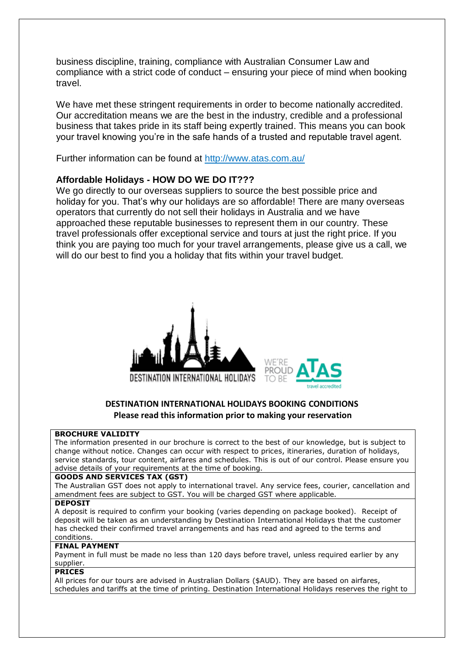business discipline, training, compliance with Australian Consumer Law and compliance with a strict code of conduct – ensuring your piece of mind when booking travel.

We have met these stringent requirements in order to become nationally accredited. Our accreditation means we are the best in the industry, credible and a professional business that takes pride in its staff being expertly trained. This means you can book your travel knowing you're in the safe hands of a trusted and reputable travel agent.

Further information can be found at<http://www.atas.com.au/>

#### **Affordable Holidays - HOW DO WE DO IT???**

We go directly to our overseas suppliers to source the best possible price and holiday for you. That's why our holidays are so affordable! There are many overseas operators that currently do not sell their holidays in Australia and we have approached these reputable businesses to represent them in our country. These travel professionals offer exceptional service and tours at just the right price. If you think you are paying too much for your travel arrangements, please give us a call, we will do our best to find you a holiday that fits within your travel budget.





#### **DESTINATION INTERNATIONAL HOLIDAYS BOOKING CONDITIONS Please read this information prior to making your reservation**

#### **BROCHURE VALIDITY**

The information presented in our brochure is correct to the best of our knowledge, but is subject to change without notice. Changes can occur with respect to prices, itineraries, duration of holidays, service standards, tour content, airfares and schedules. This is out of our control. Please ensure you advise details of your requirements at the time of booking.

#### **GOODS AND SERVICES TAX (GST)**

The Australian GST does not apply to international travel. Any service fees, courier, cancellation and amendment fees are subject to GST. You will be charged GST where applicable.

#### **DEPOSIT**

A deposit is required to confirm your booking (varies depending on package booked). Receipt of deposit will be taken as an understanding by Destination International Holidays that the customer has checked their confirmed travel arrangements and has read and agreed to the terms and conditions.

### **FINAL PAYMENT**

Payment in full must be made no less than 120 days before travel, unless required earlier by any supplier.

#### **PRICES**

All prices for our tours are advised in Australian Dollars (\$AUD). They are based on airfares, schedules and tariffs at the time of printing. Destination International Holidays reserves the right to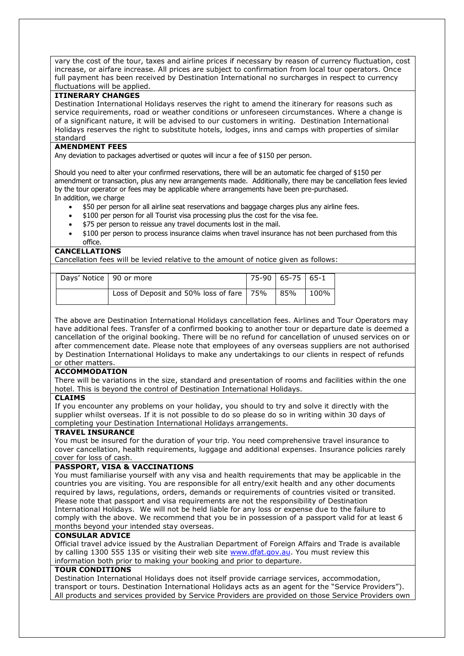vary the cost of the tour, taxes and airline prices if necessary by reason of currency fluctuation, cost increase, or airfare increase. All prices are subject to confirmation from local tour operators. Once full payment has been received by Destination International no surcharges in respect to currency fluctuations will be applied.

#### **ITINERARY CHANGES**

Destination International Holidays reserves the right to amend the itinerary for reasons such as service requirements, road or weather conditions or unforeseen circumstances. Where a change is of a significant nature, it will be advised to our customers in writing. Destination International Holidays reserves the right to substitute hotels, lodges, inns and camps with properties of similar standard

#### **AMENDMENT FEES**

Any deviation to packages advertised or quotes will incur a fee of \$150 per person.

Should you need to alter your confirmed reservations, there will be an automatic fee charged of \$150 per amendment or transaction, plus any new arrangements made. Additionally, there may be cancellation fees levied by the tour operator or fees may be applicable where arrangements have been pre-purchased. In addition, we charge

- \$50 per person for all airline seat reservations and baggage charges plus any airline fees.
- \$100 per person for all Tourist visa processing plus the cost for the visa fee.
- \$75 per person to reissue any travel documents lost in the mail.
- \$100 per person to process insurance claims when travel insurance has not been purchased from this office.

#### **CANCELLATIONS**

Cancellation fees will be levied relative to the amount of notice given as follows:

| Days' Notice   90 or more |                                                              | 75-90   65-75   65-1 |      |
|---------------------------|--------------------------------------------------------------|----------------------|------|
|                           | Loss of Deposit and 50% loss of fare $\vert$ 75% $\vert$ 85% |                      | 100% |

The above are Destination International Holidays cancellation fees. Airlines and Tour Operators may have additional fees. Transfer of a confirmed booking to another tour or departure date is deemed a cancellation of the original booking. There will be no refund for cancellation of unused services on or after commencement date. Please note that employees of any overseas suppliers are not authorised by Destination International Holidays to make any undertakings to our clients in respect of refunds or other matters.

#### **ACCOMMODATION**

There will be variations in the size, standard and presentation of rooms and facilities within the one hotel. This is beyond the control of Destination International Holidays.

#### **CLAIMS**

If you encounter any problems on your holiday, you should to try and solve it directly with the supplier whilst overseas. If it is not possible to do so please do so in writing within 30 days of completing your Destination International Holidays arrangements.

#### **TRAVEL INSURANCE**

You must be insured for the duration of your trip. You need comprehensive travel insurance to cover cancellation, health requirements, luggage and additional expenses. Insurance policies rarely cover for loss of cash.

#### **PASSPORT, VISA & VACCINATIONS**

You must familiarise yourself with any visa and health requirements that may be applicable in the countries you are visiting. You are responsible for all entry/exit health and any other documents required by laws, regulations, orders, demands or requirements of countries visited or transited. Please note that passport and visa requirements are not the responsibility of Destination International Holidays. We will not be held liable for any loss or expense due to the failure to comply with the above. We recommend that you be in possession of a passport valid for at least 6 months beyond your intended stay overseas.

#### **CONSULAR ADVICE**

Official travel advice issued by the Australian Department of Foreign Affairs and Trade is available by calling 1300 555 135 or visiting their web site [www.dfat.gov.au.](http://www.dfat.gov.au/) You must review this information both prior to making your booking and prior to departure.

#### **TOUR CONDITIONS**

Destination International Holidays does not itself provide carriage services, accommodation, transport or tours. Destination International Holidays acts as an agent for the "Service Providers"). All products and services provided by Service Providers are provided on those Service Providers own